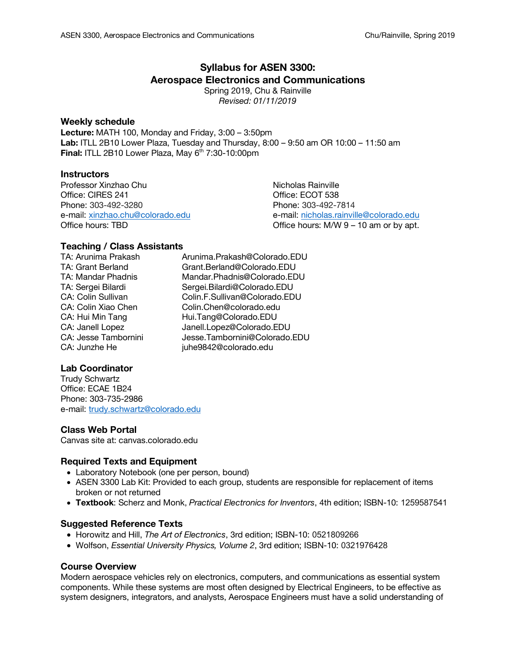# **Syllabus for ASEN 3300: Aerospace Electronics and Communications**

Spring 2019, Chu & Rainville *Revised: 01/11/2019*

## **Weekly schedule**

**Lecture:** MATH 100, Monday and Friday, 3:00 – 3:50pm **Lab:** ITLL 2B10 Lower Plaza, Tuesday and Thursday, 8:00 – 9:50 am OR 10:00 – 11:50 am **Final:** ITLL 2B10 Lower Plaza, May 6<sup>th</sup> 7:30-10:00pm

# **Instructors**

Professor Xinzhao Chu Nicholas Rainville Office: CIRES 241 Office: ECOT 538 Phone: 303-492-3280 Phone: 303-492-7814

e-mail: xinzhao.chu@colorado.edu e-mail: nicholas.rainville@colorado.edu Office hours: TBD Cffice hours: M/W 9 – 10 am or by apt.

# **Teaching / Class Assistants**<br>TA: Arunima Prakash

Arunima.Prakash@Colorado.EDU TA: Grant Berland Grant.Berland@Colorado.EDU TA: Mandar Phadnis Mandar.Phadnis@Colorado.EDU TA: Sergei Bilardi Sergei.Bilardi@Colorado.EDU CA: Colin Sullivan Colin.F.Sullivan@Colorado.EDU CA: Colin Xiao Chen Colin.Chen@colorado.edu CA: Hui Min Tang Hui.Tang@Colorado.EDU CA: Janell Lopez Janell.Lopez@Colorado.EDU CA: Jesse Tambornini Jesse.Tambornini@Colorado.EDU CA: Junzhe He juhe9842@colorado.edu

# **Lab Coordinator**

Trudy Schwartz Office: ECAE 1B24 Phone: 303-735-2986 e-mail: trudy.schwartz@colorado.edu

# **Class Web Portal**

Canvas site at: canvas.colorado.edu

# **Required Texts and Equipment**

- Laboratory Notebook (one per person, bound)
- ASEN 3300 Lab Kit: Provided to each group, students are responsible for replacement of items broken or not returned
- **Textbook**: Scherz and Monk, *Practical Electronics for Inventors*, 4th edition; ISBN-10: 1259587541

# **Suggested Reference Texts**

- Horowitz and Hill, *The Art of Electronics*, 3rd edition; ISBN-10: 0521809266
- Wolfson, *Essential University Physics, Volume 2*, 3rd edition; ISBN-10: 0321976428

# **Course Overview**

Modern aerospace vehicles rely on electronics, computers, and communications as essential system components. While these systems are most often designed by Electrical Engineers, to be effective as system designers, integrators, and analysts, Aerospace Engineers must have a solid understanding of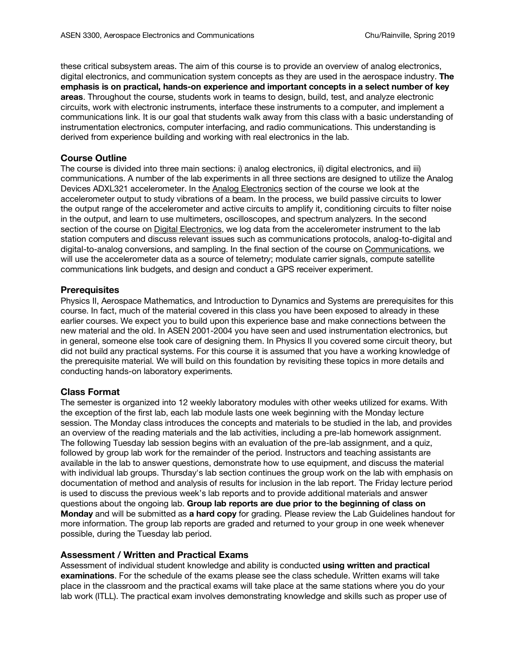these critical subsystem areas. The aim of this course is to provide an overview of analog electronics, digital electronics, and communication system concepts as they are used in the aerospace industry. **The emphasis is on practical, hands-on experience and important concepts in a select number of key areas**. Throughout the course, students work in teams to design, build, test, and analyze electronic circuits, work with electronic instruments, interface these instruments to a computer, and implement a communications link. It is our goal that students walk away from this class with a basic understanding of instrumentation electronics, computer interfacing, and radio communications. This understanding is derived from experience building and working with real electronics in the lab.

# **Course Outline**

The course is divided into three main sections: i) analog electronics, ii) digital electronics, and iii) communications. A number of the lab experiments in all three sections are designed to utilize the Analog Devices ADXL321 accelerometer. In the Analog Electronics section of the course we look at the accelerometer output to study vibrations of a beam. In the process, we build passive circuits to lower the output range of the accelerometer and active circuits to amplify it, conditioning circuits to filter noise in the output, and learn to use multimeters, oscilloscopes, and spectrum analyzers. In the second section of the course on Digital Electronics, we log data from the accelerometer instrument to the lab station computers and discuss relevant issues such as communications protocols, analog-to-digital and digital-to-analog conversions, and sampling. In the final section of the course on Communications, we will use the accelerometer data as a source of telemetry; modulate carrier signals, compute satellite communications link budgets, and design and conduct a GPS receiver experiment.

# **Prerequisites**

Physics II, Aerospace Mathematics, and Introduction to Dynamics and Systems are prerequisites for this course. In fact, much of the material covered in this class you have been exposed to already in these earlier courses. We expect you to build upon this experience base and make connections between the new material and the old. In ASEN 2001-2004 you have seen and used instrumentation electronics, but in general, someone else took care of designing them. In Physics II you covered some circuit theory, but did not build any practical systems. For this course it is assumed that you have a working knowledge of the prerequisite material. We will build on this foundation by revisiting these topics in more details and conducting hands-on laboratory experiments.

# **Class Format**

The semester is organized into 12 weekly laboratory modules with other weeks utilized for exams. With the exception of the first lab, each lab module lasts one week beginning with the Monday lecture session. The Monday class introduces the concepts and materials to be studied in the lab, and provides an overview of the reading materials and the lab activities, including a pre-lab homework assignment. The following Tuesday lab session begins with an evaluation of the pre-lab assignment, and a quiz, followed by group lab work for the remainder of the period. Instructors and teaching assistants are available in the lab to answer questions, demonstrate how to use equipment, and discuss the material with individual lab groups. Thursday's lab section continues the group work on the lab with emphasis on documentation of method and analysis of results for inclusion in the lab report. The Friday lecture period is used to discuss the previous week's lab reports and to provide additional materials and answer questions about the ongoing lab. **Group lab reports are due prior to the beginning of class on Monday** and will be submitted as **a hard copy** for grading. Please review the Lab Guidelines handout for more information. The group lab reports are graded and returned to your group in one week whenever possible, during the Tuesday lab period.

# **Assessment / Written and Practical Exams**

Assessment of individual student knowledge and ability is conducted **using written and practical examinations**. For the schedule of the exams please see the class schedule. Written exams will take place in the classroom and the practical exams will take place at the same stations where you do your lab work (ITLL). The practical exam involves demonstrating knowledge and skills such as proper use of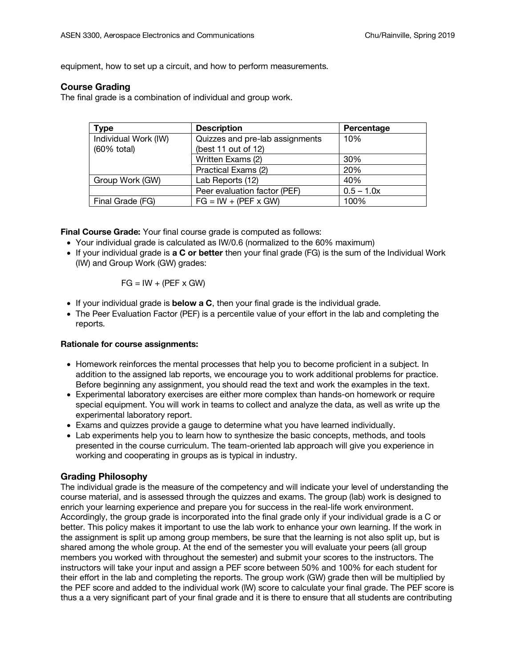equipment, how to set up a circuit, and how to perform measurements.

# **Course Grading**

The final grade is a combination of individual and group work.

| <b>Type</b>          | <b>Description</b>              | Percentage   |
|----------------------|---------------------------------|--------------|
| Individual Work (IW) | Quizzes and pre-lab assignments | 10%          |
| (60% total)          | (best 11 out of 12)             |              |
|                      | Written Exams (2)               | 30%          |
|                      | Practical Exams (2)             | 20%          |
| Group Work (GW)      | Lab Reports (12)                | 40%          |
|                      | Peer evaluation factor (PEF)    | $0.5 - 1.0x$ |
| Final Grade (FG)     | $FG = IW + (PEF \times GW)$     | 100%         |

**Final Course Grade:** Your final course grade is computed as follows:

- Your individual grade is calculated as IW/0.6 (normalized to the 60% maximum)
- If your individual grade is **a C or better** then your final grade (FG) is the sum of the Individual Work (IW) and Group Work (GW) grades:

$$
FG = IW + (PEF \times GW)
$$

- If your individual grade is **below a C**, then your final grade is the individual grade.
- The Peer Evaluation Factor (PEF) is a percentile value of your effort in the lab and completing the reports.

# **Rationale for course assignments:**

- Homework reinforces the mental processes that help you to become proficient in a subject. In addition to the assigned lab reports, we encourage you to work additional problems for practice. Before beginning any assignment, you should read the text and work the examples in the text.
- Experimental laboratory exercises are either more complex than hands-on homework or require special equipment. You will work in teams to collect and analyze the data, as well as write up the experimental laboratory report.
- Exams and quizzes provide a gauge to determine what you have learned individually.
- Lab experiments help you to learn how to synthesize the basic concepts, methods, and tools presented in the course curriculum. The team-oriented lab approach will give you experience in working and cooperating in groups as is typical in industry.

# **Grading Philosophy**

The individual grade is the measure of the competency and will indicate your level of understanding the course material, and is assessed through the quizzes and exams. The group (lab) work is designed to enrich your learning experience and prepare you for success in the real-life work environment. Accordingly, the group grade is incorporated into the final grade only if your individual grade is a C or better. This policy makes it important to use the lab work to enhance your own learning. If the work in the assignment is split up among group members, be sure that the learning is not also split up, but is shared among the whole group. At the end of the semester you will evaluate your peers (all group members you worked with throughout the semester) and submit your scores to the instructors. The instructors will take your input and assign a PEF score between 50% and 100% for each student for their effort in the lab and completing the reports. The group work (GW) grade then will be multiplied by the PEF score and added to the individual work (IW) score to calculate your final grade. The PEF score is thus a a very significant part of your final grade and it is there to ensure that all students are contributing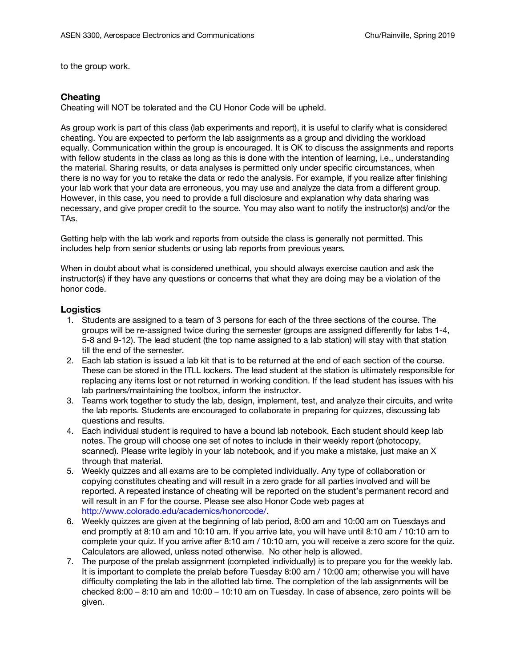to the group work.

## **Cheating**

Cheating will NOT be tolerated and the CU Honor Code will be upheld.

As group work is part of this class (lab experiments and report), it is useful to clarify what is considered cheating. You are expected to perform the lab assignments as a group and dividing the workload equally. Communication within the group is encouraged. It is OK to discuss the assignments and reports with fellow students in the class as long as this is done with the intention of learning, i.e., understanding the material. Sharing results, or data analyses is permitted only under specific circumstances, when there is no way for you to retake the data or redo the analysis. For example, if you realize after finishing your lab work that your data are erroneous, you may use and analyze the data from a different group. However, in this case, you need to provide a full disclosure and explanation why data sharing was necessary, and give proper credit to the source. You may also want to notify the instructor(s) and/or the TAs.

Getting help with the lab work and reports from outside the class is generally not permitted. This includes help from senior students or using lab reports from previous years.

When in doubt about what is considered unethical, you should always exercise caution and ask the instructor(s) if they have any questions or concerns that what they are doing may be a violation of the honor code.

## **Logistics**

- 1. Students are assigned to a team of 3 persons for each of the three sections of the course. The groups will be re-assigned twice during the semester (groups are assigned differently for labs 1-4, 5-8 and 9-12). The lead student (the top name assigned to a lab station) will stay with that station till the end of the semester.
- 2. Each lab station is issued a lab kit that is to be returned at the end of each section of the course. These can be stored in the ITLL lockers. The lead student at the station is ultimately responsible for replacing any items lost or not returned in working condition. If the lead student has issues with his lab partners/maintaining the toolbox, inform the instructor.
- 3. Teams work together to study the lab, design, implement, test, and analyze their circuits, and write the lab reports. Students are encouraged to collaborate in preparing for quizzes, discussing lab questions and results.
- 4. Each individual student is required to have a bound lab notebook. Each student should keep lab notes. The group will choose one set of notes to include in their weekly report (photocopy, scanned). Please write legibly in your lab notebook, and if you make a mistake, just make an X through that material.
- 5. Weekly quizzes and all exams are to be completed individually. Any type of collaboration or copying constitutes cheating and will result in a zero grade for all parties involved and will be reported. A repeated instance of cheating will be reported on the student's permanent record and will result in an F for the course. Please see also Honor Code web pages at http://www.colorado.edu/academics/honorcode/.
- 6. Weekly quizzes are given at the beginning of lab period, 8:00 am and 10:00 am on Tuesdays and end promptly at 8:10 am and 10:10 am. If you arrive late, you will have until 8:10 am / 10:10 am to complete your quiz. If you arrive after 8:10 am / 10:10 am, you will receive a zero score for the quiz. Calculators are allowed, unless noted otherwise. No other help is allowed.
- 7. The purpose of the prelab assignment (completed individually) is to prepare you for the weekly lab. It is important to complete the prelab before Tuesday 8:00 am / 10:00 am; otherwise you will have difficulty completing the lab in the allotted lab time. The completion of the lab assignments will be checked 8:00 – 8:10 am and 10:00 – 10:10 am on Tuesday. In case of absence, zero points will be given.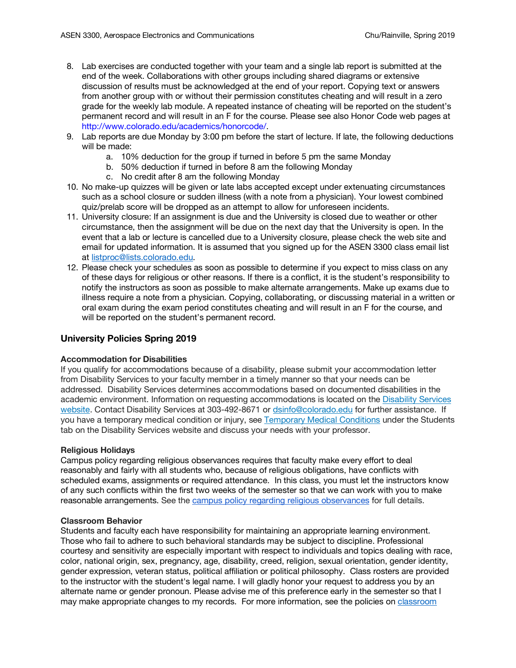- 8. Lab exercises are conducted together with your team and a single lab report is submitted at the end of the week. Collaborations with other groups including shared diagrams or extensive discussion of results must be acknowledged at the end of your report. Copying text or answers from another group with or without their permission constitutes cheating and will result in a zero grade for the weekly lab module. A repeated instance of cheating will be reported on the student's permanent record and will result in an F for the course. Please see also Honor Code web pages at http://www.colorado.edu/academics/honorcode/.
- 9. Lab reports are due Monday by 3:00 pm before the start of lecture. If late, the following deductions will be made:
	- a. 10% deduction for the group if turned in before 5 pm the same Monday
	- b. 50% deduction if turned in before 8 am the following Monday
	- c. No credit after 8 am the following Monday
- 10. No make-up quizzes will be given or late labs accepted except under extenuating circumstances such as a school closure or sudden illness (with a note from a physician). Your lowest combined quiz/prelab score will be dropped as an attempt to allow for unforeseen incidents.
- 11. University closure: If an assignment is due and the University is closed due to weather or other circumstance, then the assignment will be due on the next day that the University is open. In the event that a lab or lecture is cancelled due to a University closure, please check the web site and email for updated information. It is assumed that you signed up for the ASEN 3300 class email list at listproc@lists.colorado.edu.
- 12. Please check your schedules as soon as possible to determine if you expect to miss class on any of these days for religious or other reasons. If there is a conflict, it is the student's responsibility to notify the instructors as soon as possible to make alternate arrangements. Make up exams due to illness require a note from a physician. Copying, collaborating, or discussing material in a written or oral exam during the exam period constitutes cheating and will result in an F for the course, and will be reported on the student's permanent record.

# **University Policies Spring 2019**

## **Accommodation for Disabilities**

If you qualify for accommodations because of a disability, please submit your accommodation letter from Disability Services to your faculty member in a timely manner so that your needs can be addressed. Disability Services determines accommodations based on documented disabilities in the academic environment. Information on requesting accommodations is located on the Disability Services website. Contact Disability Services at 303-492-8671 or dsinfo@colorado.edu for further assistance. If you have a temporary medical condition or injury, see Temporary Medical Conditions under the Students tab on the Disability Services website and discuss your needs with your professor.

## **Religious Holidays**

Campus policy regarding religious observances requires that faculty make every effort to deal reasonably and fairly with all students who, because of religious obligations, have conflicts with scheduled exams, assignments or required attendance. In this class, you must let the instructors know of any such conflicts within the first two weeks of the semester so that we can work with you to make reasonable arrangements. See the campus policy regarding religious observances for full details.

## **Classroom Behavior**

Students and faculty each have responsibility for maintaining an appropriate learning environment. Those who fail to adhere to such behavioral standards may be subject to discipline. Professional courtesy and sensitivity are especially important with respect to individuals and topics dealing with race, color, national origin, sex, pregnancy, age, disability, creed, religion, sexual orientation, gender identity, gender expression, veteran status, political affiliation or political philosophy. Class rosters are provided to the instructor with the student's legal name. I will gladly honor your request to address you by an alternate name or gender pronoun. Please advise me of this preference early in the semester so that I may make appropriate changes to my records. For more information, see the policies on classroom